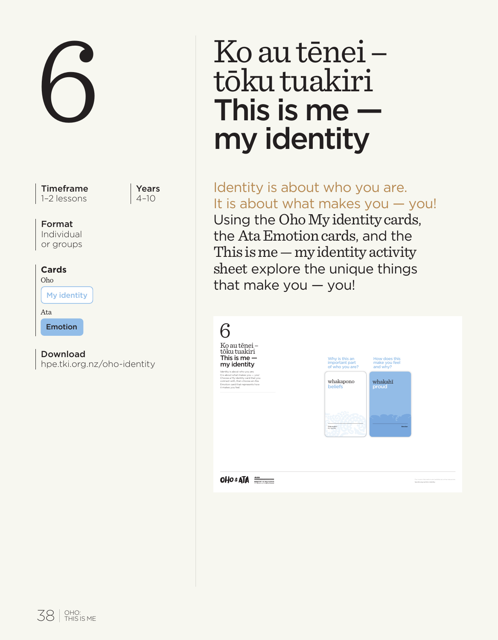Timeframe 1–2 lessons

Years  $4-10$ 

### Format

Individual or groups

# **Cards**

| Oho         |  |
|-------------|--|
| My identity |  |
| Ata         |  |
| Emotion     |  |

# Download

hpe.tki.org.nz/oho-identity

# 6 Ko au tēnei –<br>tōku tuakiri<br>This is me –<br>my identity tōku tuakiri This is me my identity

Identity is about who you are. It is about what makes you — you! Using the Oho My identity cards, the Ata Emotion cards, and the This is me — my identity activity sheet explore the unique things that make you — you!

| 6<br>Ko au tēnei-<br>töku tuakiri                                                                                                                                                                        |                                                     |                                            |                                                                               |
|----------------------------------------------------------------------------------------------------------------------------------------------------------------------------------------------------------|-----------------------------------------------------|--------------------------------------------|-------------------------------------------------------------------------------|
| This is me $-$<br>my identity                                                                                                                                                                            | Why is this an<br>important part<br>of who you are? | How does this<br>make you feel<br>and why? |                                                                               |
| identity is about who you are.<br>It is about what makes you -- you!<br>Choose a Hy identity card that you<br>connect with then choose an Ata<br>Ernotion card that represents how<br>it makes you feel. | whakapono<br>beliefs                                | whakahī<br>proud                           |                                                                               |
|                                                                                                                                                                                                          | Travendor<br>My planting                            |                                            |                                                                               |
|                                                                                                                                                                                                          |                                                     |                                            |                                                                               |
| <b>OHO &amp; ATA</b><br>$134 - 124$<br><b><i>AMATRE OF ENVIRONM</i></b>                                                                                                                                  |                                                     |                                            | For more information and additional online re-<br>hya til ang na John Marting |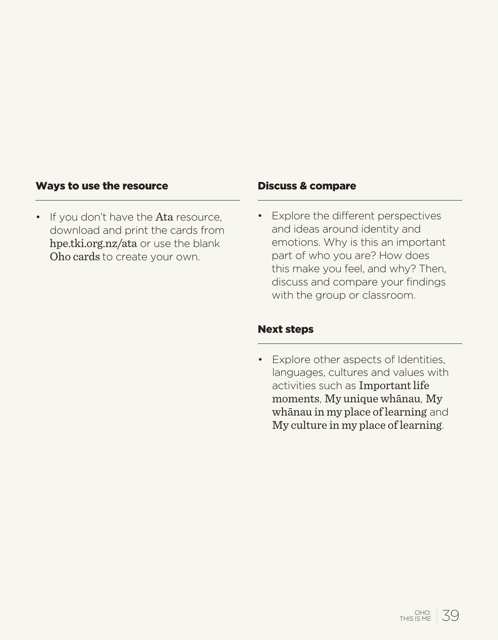# Ways to use the resource

• If you don't have the Ata resource, download and print the cards from hpe.tki.org.nz/ata or use the blank Oho cards to create your own.

#### Discuss & compare

• Explore the different perspectives and ideas around identity and emotions. Why is this an important part of who you are? How does this make you feel, and why? Then, discuss and compare your findings with the group or classroom.

### Next steps

• Explore other aspects of Identities, languages, cultures and values with activities such as Important life moments, My unique whānau, My whānau in my place of learning and My culture in my place of learning.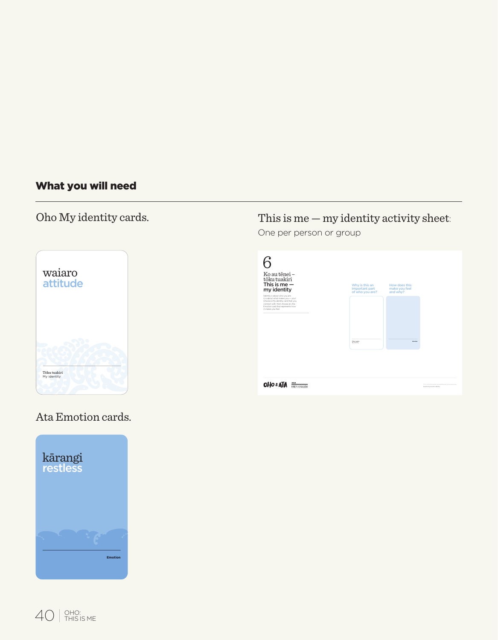# What you will need

# Oho My identity cards.



# This is me — my identity activity sheet:

One per person or group

| It is about what makes you - your<br>Choose a My identity card that you<br>connect with then choose an Ata<br>Emotion card that represents how<br>it makes you feel.<br><b>TAXABLE</b><br><b>State</b><br><b>Wallengton</b> | 6<br>Ko au tênei -<br>tõku tuakiri<br>This is me $-$<br>my identity | Why is this an<br>important part<br>of who you are? | How does this<br>make you feel<br>and why? |  |
|-----------------------------------------------------------------------------------------------------------------------------------------------------------------------------------------------------------------------------|---------------------------------------------------------------------|-----------------------------------------------------|--------------------------------------------|--|
|                                                                                                                                                                                                                             | Identify is about who you are.                                      |                                                     |                                            |  |
|                                                                                                                                                                                                                             |                                                                     |                                                     |                                            |  |

# Ata Emotion cards.